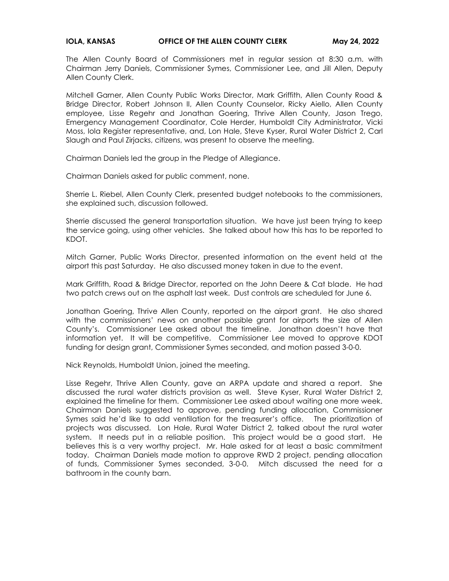## **IOLA, KANSAS CHELLER OF THE ALLEN COUNTY CLERK May 24, 2022**

The Allen County Board of Commissioners met in regular session at 8:30 a.m. with Chairman Jerry Daniels, Commissioner Symes, Commissioner Lee, and Jill Allen, Deputy Allen County Clerk.

Mitchell Garner, Allen County Public Works Director, Mark Griffith, Allen County Road & Bridge Director, Robert Johnson II, Allen County Counselor, Ricky Aiello, Allen County employee, Lisse Regehr and Jonathan Goering, Thrive Allen County, Jason Trego, Emergency Management Coordinator, Cole Herder, Humboldt City Administrator, Vicki Moss, Iola Register representative, and, Lon Hale, Steve Kyser, Rural Water District 2, Carl Slaugh and Paul Zirjacks, citizens, was present to observe the meeting.

Chairman Daniels led the group in the Pledge of Allegiance.

Chairman Daniels asked for public comment, none.

Sherrie L. Riebel, Allen County Clerk, presented budget notebooks to the commissioners, she explained such, discussion followed.

Sherrie discussed the general transportation situation. We have just been trying to keep the service going, using other vehicles. She talked about how this has to be reported to KDOT.

Mitch Garner, Public Works Director, presented information on the event held at the airport this past Saturday. He also discussed money taken in due to the event.

Mark Griffith, Road & Bridge Director, reported on the John Deere & Cat blade. He had two patch crews out on the asphalt last week. Dust controls are scheduled for June 6.

Jonathan Goering, Thrive Allen County, reported on the airport grant. He also shared with the commissioners' news on another possible grant for airports the size of Allen County's. Commissioner Lee asked about the timeline. Jonathan doesn't have that information yet. It will be competitive. Commissioner Lee moved to approve KDOT funding for design grant, Commissioner Symes seconded, and motion passed 3-0-0.

Nick Reynolds, Humboldt Union, joined the meeting.

Lisse Regehr, Thrive Allen County, gave an ARPA update and shared a report. She discussed the rural water districts provision as well. Steve Kyser, Rural Water District 2, explained the timeline for them. Commissioner Lee asked about waiting one more week. Chairman Daniels suggested to approve, pending funding allocation, Commissioner Symes said he'd like to add ventilation for the treasurer's office. The prioritization of projects was discussed. Lon Hale, Rural Water District 2, talked about the rural water system. It needs put in a reliable position. This project would be a good start. He believes this is a very worthy project. Mr. Hale asked for at least a basic commitment today. Chairman Daniels made motion to approve RWD 2 project, pending allocation of funds, Commissioner Symes seconded, 3-0-0. Mitch discussed the need for a bathroom in the county barn.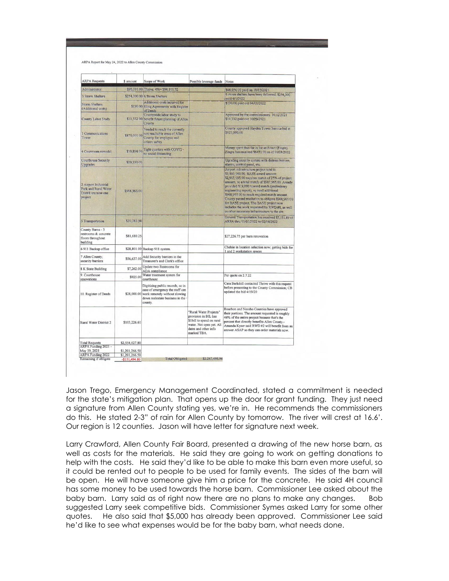|  |  |  | ARPA Report for May 24, 2022 to Allen County Commission |
|--|--|--|---------------------------------------------------------|
|--|--|--|---------------------------------------------------------|

| <b>ARPA Requests</b>                                                          | \$ amount                        | Scope of Work                                                                                                                                      | Possible leverage funds Notes                                                                                                                   |                                                                                                                                                                                                                                                                                                                                                                                                                                                                                                                                  |
|-------------------------------------------------------------------------------|----------------------------------|----------------------------------------------------------------------------------------------------------------------------------------------------|-------------------------------------------------------------------------------------------------------------------------------------------------|----------------------------------------------------------------------------------------------------------------------------------------------------------------------------------------------------------------------------------------------------------------------------------------------------------------------------------------------------------------------------------------------------------------------------------------------------------------------------------------------------------------------------------|
| Administrator                                                                 |                                  | \$96,101.00 Thrive: 4% \$96,101.32                                                                                                                 |                                                                                                                                                 | \$48,050.00 paid on 10/15/2021                                                                                                                                                                                                                                                                                                                                                                                                                                                                                                   |
| <b>3 Storm Shelters</b>                                                       |                                  | \$254,300.00 6 Storm Shelters                                                                                                                      |                                                                                                                                                 | 6 storm shelters have been delivered. \$254,300                                                                                                                                                                                                                                                                                                                                                                                                                                                                                  |
| <b>Storm Shelters</b><br>(Additional costs)                                   |                                  | Additional costs incurred for<br>\$190.00 filing Agreements with Register<br>of Deeds                                                              |                                                                                                                                                 | paid 4/1/2022<br>\$190.00 paid out 04/01/2022                                                                                                                                                                                                                                                                                                                                                                                                                                                                                    |
| County Labor Study                                                            |                                  | Countywide labor study to<br>\$11,332.00 benefit future planning of Allen<br>County                                                                |                                                                                                                                                 | Approved by the commissioners 10.12.2021<br>\$11,332 paid out 10/29/2021                                                                                                                                                                                                                                                                                                                                                                                                                                                         |
| 1 Communications<br>Tower                                                     | \$875,000.00                     | Needed to reach the currently<br>non reachable areas of Allen<br>County for employee and<br>citizen saftey                                         |                                                                                                                                                 | County approved Hayden Tower Service bid at<br>\$875,000.00                                                                                                                                                                                                                                                                                                                                                                                                                                                                      |
| 4 Courtroom remodel                                                           |                                  | \$10,894.00 Tight quarters with COVID -<br>no social distancing                                                                                    |                                                                                                                                                 | Money spent thus far is for architect (Zingre).<br>Zingre has received \$6471.00 as of 03/28/2022                                                                                                                                                                                                                                                                                                                                                                                                                                |
| <b>Courthouse Security</b><br><b>Upgrades</b>                                 | \$20,330.00                      |                                                                                                                                                    |                                                                                                                                                 | Ugrading security system with distress buttons,<br>alarms, control panel, etc.                                                                                                                                                                                                                                                                                                                                                                                                                                                   |
| 2 Airport Industrial<br>Park and Rural Water<br>Dist#8 are now one<br>project | \$968,965.00                     |                                                                                                                                                    |                                                                                                                                                 | Airport infrastructure project total is<br>\$3,893,060.00. BASE award amount<br>\$2,905,095.00 requires match of 25% of project<br>amount, so a total match of \$987,965.00. Aready<br>provided \$19,000 toward match (preliminary<br>engineering report), so need additional<br>\$968,965.00 to reach required match amount.<br>County passed resolution to obligate \$968,965.00<br>for BASE project. The BASE project now<br>includes the work requested by RWD #8, as well<br>as other necessary infrastructure to the site. |
| 5 Transportation                                                              | \$10,383.94                      |                                                                                                                                                    |                                                                                                                                                 | General Transportation has received \$7,151.89 of<br>ARPA thru 01/01/2022 to 02/04/2022                                                                                                                                                                                                                                                                                                                                                                                                                                          |
| County Barns - 3<br>restrooms & concrete<br>floors throughout<br>building     | \$81,680.25                      |                                                                                                                                                    |                                                                                                                                                 | \$27,226.75 per barn renovation                                                                                                                                                                                                                                                                                                                                                                                                                                                                                                  |
| 6 911 Backup office                                                           |                                  | \$28,801.00 Backup 911 system.                                                                                                                     |                                                                                                                                                 | Chelsie in location selection now; getting bids for<br>1 and 2 workstation spaces                                                                                                                                                                                                                                                                                                                                                                                                                                                |
| 7 Allen County;<br>security barriers                                          |                                  | \$56,637.00 $\begin{array}{ c c }\n\hline\n\text{Add Security barriers in the}\n\end{array}$<br>Treasurer's and Clerk's office                     |                                                                                                                                                 |                                                                                                                                                                                                                                                                                                                                                                                                                                                                                                                                  |
| 8 K State Building                                                            | \$7,262.00                       | Update two Restrooms for<br>ADA compliance                                                                                                         |                                                                                                                                                 |                                                                                                                                                                                                                                                                                                                                                                                                                                                                                                                                  |
| 9. Courthouse<br>renovations                                                  | \$925.00                         | Water treatment system for<br>courthouse                                                                                                           |                                                                                                                                                 | Per quote on 2.7.22                                                                                                                                                                                                                                                                                                                                                                                                                                                                                                              |
| 10. Register of Deeds                                                         | \$28,000.00                      | Digitizing public records, so in<br>case of emergency the staff can<br>work remotely without slowing<br>down realestate business in the<br>county. |                                                                                                                                                 | Cara Barkdoll contacted Thrive with this request<br>before presenting to the County Commission; CB<br>updated the bid 4/19/20                                                                                                                                                                                                                                                                                                                                                                                                    |
| <b>Rural Water District 2</b>                                                 | \$103,226.61                     |                                                                                                                                                    | "Rural Water Projects"<br>provision in BIL has<br>\$1bill to spend on rural<br>water. Not open yet. All<br>dates and other info.<br>marked TBA. | Bourbon and Neosho Counties have approved<br>their portions. The amount requested is roughly<br>46% of the entire project because that's the<br>percent that directly benefits Allen County.-<br>Amanda Kyser said RWD #2 will benefit from an<br>answer ASAP so they can order materials now.                                                                                                                                                                                                                                   |
| <b>Total Requests</b>                                                         | \$2,554,027.80                   |                                                                                                                                                    |                                                                                                                                                 |                                                                                                                                                                                                                                                                                                                                                                                                                                                                                                                                  |
| ARPA Funding 2021 -<br>May 19, 2021                                           |                                  |                                                                                                                                                    |                                                                                                                                                 |                                                                                                                                                                                                                                                                                                                                                                                                                                                                                                                                  |
| ARPA Funding 2022                                                             | \$1,201,266.50<br>\$1,201,266.50 |                                                                                                                                                    |                                                                                                                                                 |                                                                                                                                                                                                                                                                                                                                                                                                                                                                                                                                  |
| Remaining if obligate                                                         | $-$151,494.80$                   | <b>Total Obligated</b>                                                                                                                             | \$2,247,495.94                                                                                                                                  |                                                                                                                                                                                                                                                                                                                                                                                                                                                                                                                                  |

Jason Trego, Emergency Management Coordinated, stated a commitment is needed for the state's mitigation plan. That opens up the door for grant funding. They just need a signature from Allen County stating yes, we're in. He recommends the commissioners do this. He stated 2-3" of rain for Allen County by tomorrow. The river will crest at 16.6'. Our region is 12 counties. Jason will have letter for signature next week.

Larry Crawford, Allen County Fair Board, presented a drawing of the new horse barn, as well as costs for the materials. He said they are going to work on getting donations to help with the costs. He said they'd like to be able to make this barn even more useful, so it could be rented out to people to be used for family events. The sides of the barn will be open. He will have someone give him a price for the concrete. He said 4H council has some money to be used towards the horse barn. Commissioner Lee asked about the baby barn. Larry said as of right now there are no plans to make any changes. Bob suggested Larry seek competitive bids. Commissioner Symes asked Larry for some other quotes. He also said that \$5,000 has already been approved. Commissioner Lee said he'd like to see what expenses would be for the baby barn, what needs done.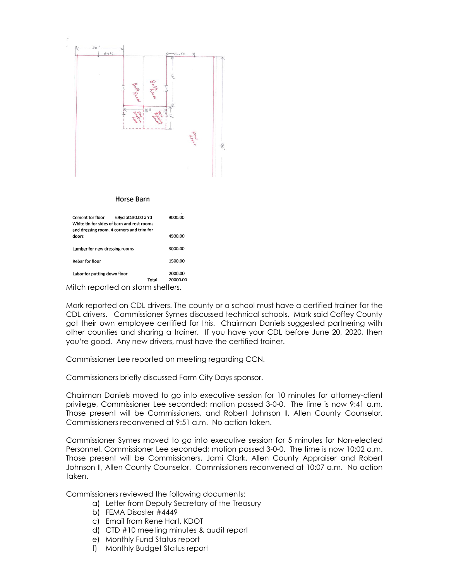

## **Horse Barn**

| Cement for floor<br>69yd at 130.00 a Yd<br>White tin for sides of barn and rest rooms<br>and dressing room. 4 corners and trim for | 9000.00             |
|------------------------------------------------------------------------------------------------------------------------------------|---------------------|
| doors                                                                                                                              | 4500.00             |
| Lumber for new dressing rooms                                                                                                      | 3000.00             |
| <b>Rebar for floor</b>                                                                                                             | 1500.00             |
| Labor for putting down floor<br>Total                                                                                              | 2000.00<br>20000.00 |
|                                                                                                                                    |                     |

Mitch reported on storm shelters.

Mark reported on CDL drivers. The county or a school must have a certified trainer for the CDL drivers. Commissioner Symes discussed technical schools. Mark said Coffey County got their own employee certified for this. Chairman Daniels suggested partnering with other counties and sharing a trainer. If you have your CDL before June 20, 2020, then you're good. Any new drivers, must have the certified trainer.

Commissioner Lee reported on meeting regarding CCN.

Commissioners briefly discussed Farm City Days sponsor.

Chairman Daniels moved to go into executive session for 10 minutes for attorney-client privilege, Commissioner Lee seconded; motion passed 3-0-0. The time is now 9:41 a.m. Those present will be Commissioners, and Robert Johnson II, Allen County Counselor. Commissioners reconvened at 9:51 a.m. No action taken.

Commissioner Symes moved to go into executive session for 5 minutes for Non-elected Personnel. Commissioner Lee seconded; motion passed 3-0-0. The time is now 10:02 a.m. Those present will be Commissioners, Jami Clark, Allen County Appraiser and Robert Johnson II, Allen County Counselor. Commissioners reconvened at 10:07 a.m. No action taken.

Commissioners reviewed the following documents:

- a) Letter from Deputy Secretary of the Treasury
- b) FEMA Disaster #4449
- c) Email from Rene Hart, KDOT
- d) CTD #10 meeting minutes & audit report
- e) Monthly Fund Status report
- f) Monthly Budget Status report